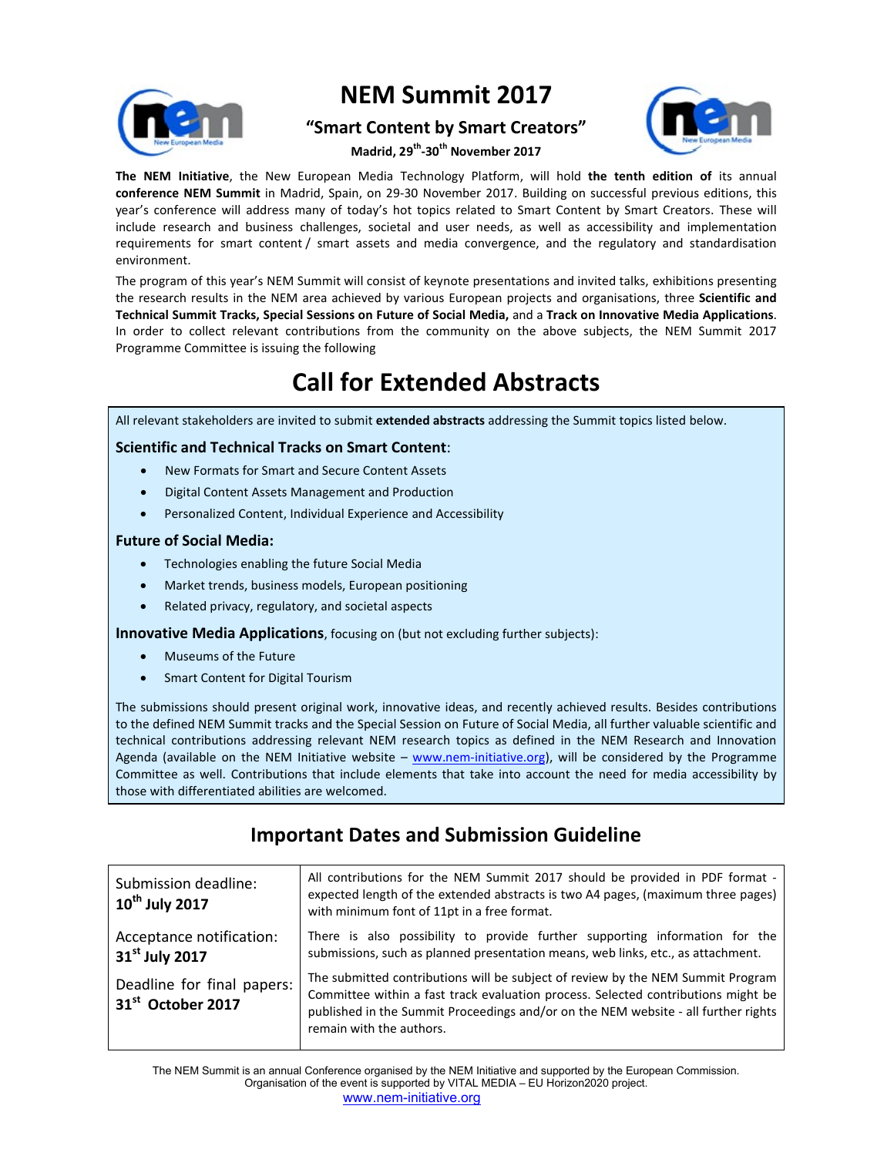

# **NEM Summit 2017**

## **"Smart Content by Smart Creators"**



**Madrid, 29 th -30th November 2017**

**The NEM Initiative**, the New European Media Technology Platform, will hold **the tenth edition of** its annual **conference NEM Summit** in Madrid, Spain, on 29-30 November 2017. Building on successful previous editions, this year's conference will address many of today's hot topics related to Smart Content by Smart Creators. These will include research and business challenges, societal and user needs, as well as accessibility and implementation requirements for smart content / smart assets and media convergence, and the regulatory and standardisation environment.

The program of this year's NEM Summit will consist of keynote presentations and invited talks, exhibitions presenting the research results in the NEM area achieved by various European projects and organisations, three **Scientific and Technical Summit Tracks, Special Sessions on Future of Social Media,** and a **Track on Innovative Media Applications**. In order to collect relevant contributions from the community on the above subjects, the NEM Summit 2017 Programme Committee is issuing the following

# **Call for Extended Abstracts**

All relevant stakeholders are invited to submit **extended abstracts** addressing the Summit topics listed below.

### **Scientific and Technical Tracks on Smart Content**:

- New Formats for Smart and Secure Content Assets
- Digital Content Assets Management and Production
- Personalized Content, Individual Experience and Accessibility

### **Future of Social Media:**

- Technologies enabling the future Social Media
- Market trends, business models, European positioning
- Related privacy, regulatory, and societal aspects

**Innovative Media Applications**, focusing on (but not excluding further subjects):

- Museums of the Future
- Smart Content for Digital Tourism

The submissions should present original work, innovative ideas, and recently achieved results. Besides contributions to the defined NEM Summit tracks and the Special Session on Future of Social Media, all further valuable scientific and technical contributions addressing relevant NEM research topics as defined in the NEM Research and Innovation Agenda (available on the NEM Initiative website – www.nem-initiative.org), will be considered by the Programme Committee as well. Contributions that include elements that take into account the need for media accessibility by those with differentiated abilities are welcomed.

## **Important Dates and Submission Guideline**

| Submission deadline:<br>$10^{\text{th}}$ July 2017          | All contributions for the NEM Summit 2017 should be provided in PDF format -<br>expected length of the extended abstracts is two A4 pages, (maximum three pages)<br>with minimum font of 11pt in a free format.                                                                        |
|-------------------------------------------------------------|----------------------------------------------------------------------------------------------------------------------------------------------------------------------------------------------------------------------------------------------------------------------------------------|
| Acceptance notification:<br>31 <sup>st</sup> July 2017      | There is also possibility to provide further supporting information for the<br>submissions, such as planned presentation means, web links, etc., as attachment.                                                                                                                        |
| Deadline for final papers:<br>31 <sup>st</sup> October 2017 | The submitted contributions will be subject of review by the NEM Summit Program<br>Committee within a fast track evaluation process. Selected contributions might be<br>published in the Summit Proceedings and/or on the NEM website - all further rights<br>remain with the authors. |

The NEM Summit is an annual Conference organised by the NEM Initiative and supported by the European Commission. Organisation of the event is supported by VITAL MEDIA – EU Horizon2020 project. www.nem-initiative.org